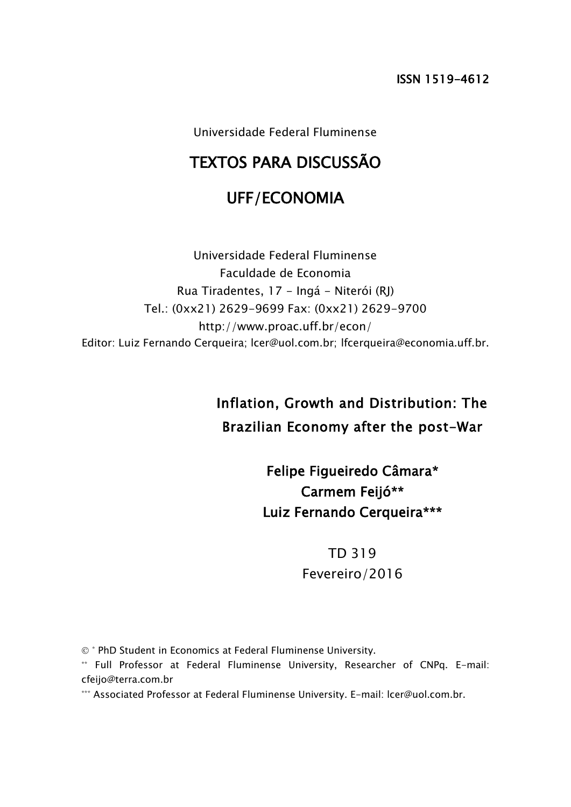Universidade Federal Fluminense

## TEXTOS PARA DISCUSSÃO

## UFF/ECONOMIA

Universidade Federal Fluminense Faculdade de Economia Rua Tiradentes, 17 - Ingá - Niterói (RJ) Tel.: (0xx21) 2629-9699 Fax: (0xx21) 2629-9700 http://www.proac.uff.br/econ/ Editor: Luiz Fernando Cerqueira; lcer@uol.com.br; lfcerqueira@economia.uff.br.

# Inflation, Growth and Distribution: The Brazilian Economy after the post-War

Felipe Figueiredo Câmara\* Carmem Feijó\*\* Luiz Fernando Cerqueira\*\*\*

> TD 319 Fevereiro/2016

 $\circ$  \* PhD Student in Economics at Federal Fluminense University.

\*\* Full Professor at Federal Fluminense University, Researcher of CNPq. E-mail: cfeijo@terra.com.br

\*\*\* Associated Professor at Federal Fluminense University. E-mail: lcer@uol.com.br.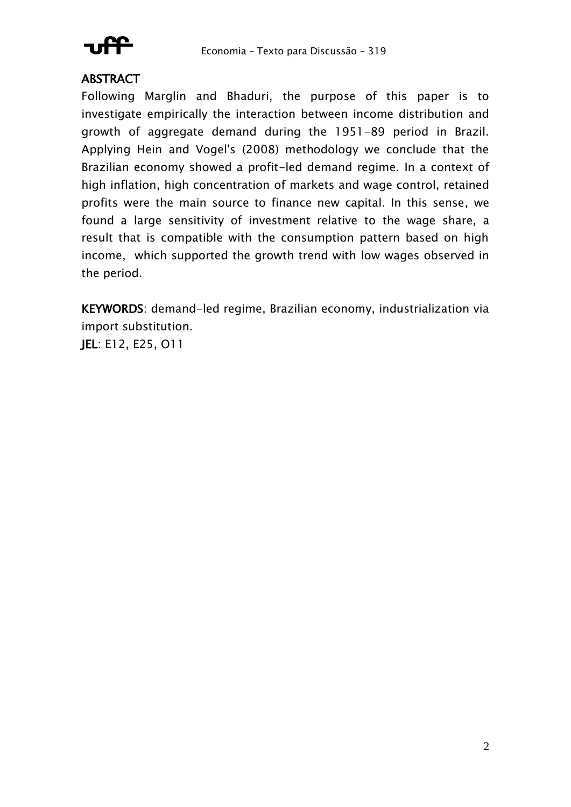

## **ABSTRACT**

Following Marglin and Bhaduri, the purpose of this paper is to investigate empirically the interaction between income distribution and growth of aggregate demand during the 1951-89 period in Brazil. Applying Hein and Vogel's (2008) methodology we conclude that the Brazilian economy showed a profit-led demand regime. In a context of high inflation, high concentration of markets and wage control, retained profits were the main source to finance new capital. In this sense, we found a large sensitivity of investment relative to the wage share, a result that is compatible with the consumption pattern based on high income, which supported the growth trend with low wages observed in the period.

KEYWORDS: demand-led regime, Brazilian economy, industrialization via import substitution.

JEL: E12, E25, O11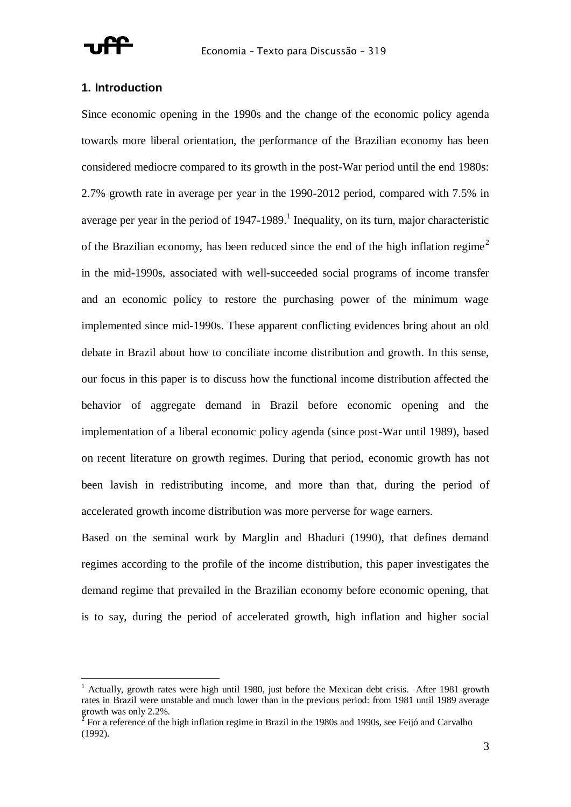

#### **1. Introduction**

Since economic opening in the 1990s and the change of the economic policy agenda towards more liberal orientation, the performance of the Brazilian economy has been considered mediocre compared to its growth in the post-War period until the end 1980s: 2.7% growth rate in average per year in the 1990-2012 period, compared with 7.5% in average per year in the period of  $1947$ -1989.<sup>1</sup> Inequality, on its turn, major characteristic of the Brazilian economy, has been reduced since the end of the high inflation regime<sup>2</sup> in the mid-1990s, associated with well-succeeded social programs of income transfer and an economic policy to restore the purchasing power of the minimum wage implemented since mid-1990s. These apparent conflicting evidences bring about an old debate in Brazil about how to conciliate income distribution and growth. In this sense, our focus in this paper is to discuss how the functional income distribution affected the behavior of aggregate demand in Brazil before economic opening and the implementation of a liberal economic policy agenda (since post-War until 1989), based on recent literature on growth regimes. During that period, economic growth has not been lavish in redistributing income, and more than that, during the period of accelerated growth income distribution was more perverse for wage earners.

Based on the seminal work by Marglin and Bhaduri (1990), that defines demand regimes according to the profile of the income distribution, this paper investigates the demand regime that prevailed in the Brazilian economy before economic opening, that is to say, during the period of accelerated growth, high inflation and higher social

<sup>&</sup>lt;sup>1</sup> Actually, growth rates were high until 1980, just before the Mexican debt crisis. After 1981 growth rates in Brazil were unstable and much lower than in the previous period: from 1981 until 1989 average growth was only 2.2%.

For a reference of the high inflation regime in Brazil in the 1980s and 1990s, see Feijó and Carvalho (1992).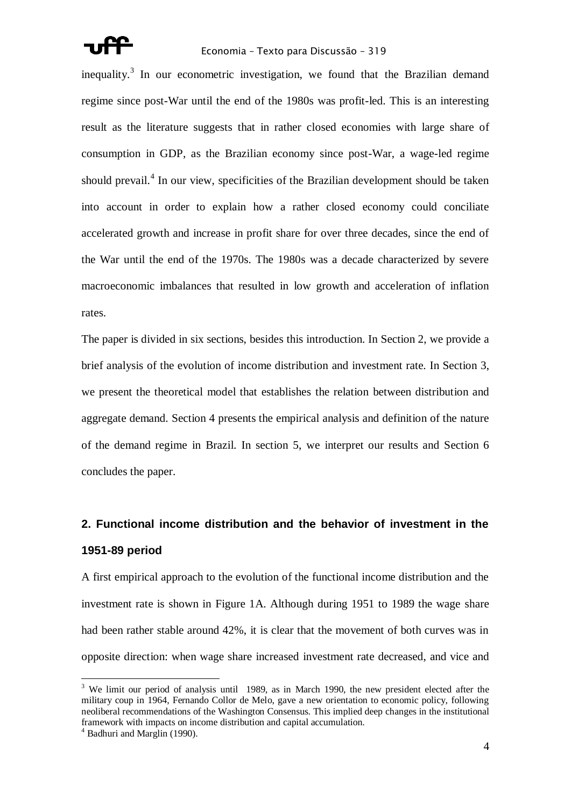

#### Economia – Texto para Discussão – 319

inequality.<sup>3</sup> In our econometric investigation, we found that the Brazilian demand regime since post-War until the end of the 1980s was profit-led. This is an interesting result as the literature suggests that in rather closed economies with large share of consumption in GDP, as the Brazilian economy since post-War, a wage-led regime should prevail.<sup>4</sup> In our view, specificities of the Brazilian development should be taken into account in order to explain how a rather closed economy could conciliate accelerated growth and increase in profit share for over three decades, since the end of the War until the end of the 1970s. The 1980s was a decade characterized by severe macroeconomic imbalances that resulted in low growth and acceleration of inflation rates.

The paper is divided in six sections, besides this introduction. In Section 2, we provide a brief analysis of the evolution of income distribution and investment rate. In Section 3, we present the theoretical model that establishes the relation between distribution and aggregate demand. Section 4 presents the empirical analysis and definition of the nature of the demand regime in Brazil. In section 5, we interpret our results and Section 6 concludes the paper.

## **2. Functional income distribution and the behavior of investment in the 1951-89 period**

A first empirical approach to the evolution of the functional income distribution and the investment rate is shown in Figure 1A. Although during 1951 to 1989 the wage share had been rather stable around 42%, it is clear that the movement of both curves was in opposite direction: when wage share increased investment rate decreased, and vice and

 $\overline{a}$ 

 $3$  We limit our period of analysis until 1989, as in March 1990, the new president elected after the military coup in 1964, Fernando Collor de Melo, gave a new orientation to economic policy, following neoliberal recommendations of the Washington Consensus. This implied deep changes in the institutional framework with impacts on income distribution and capital accumulation.

 $4$  Badhuri and Marglin (1990).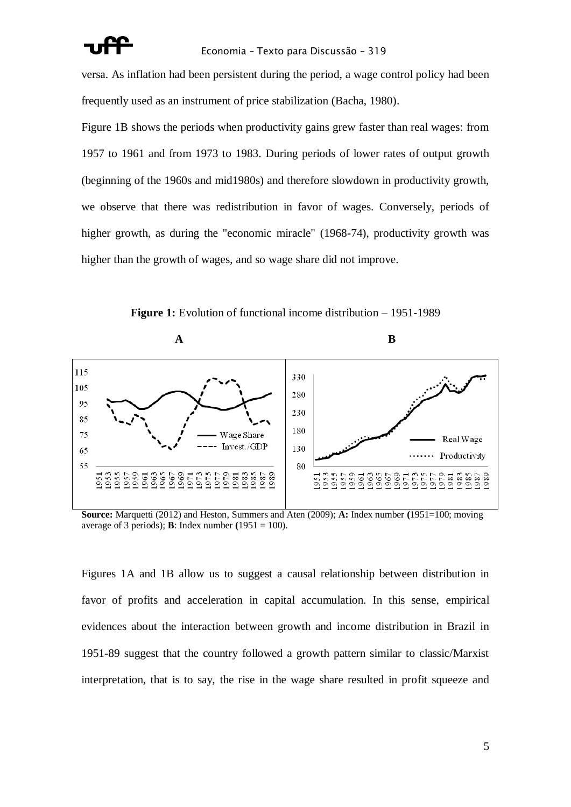

versa. As inflation had been persistent during the period, a wage control policy had been frequently used as an instrument of price stabilization (Bacha, 1980).

Figure 1B shows the periods when productivity gains grew faster than real wages: from 1957 to 1961 and from 1973 to 1983. During periods of lower rates of output growth (beginning of the 1960s and mid1980s) and therefore slowdown in productivity growth, we observe that there was redistribution in favor of wages. Conversely, periods of higher growth, as during the "economic miracle" (1968-74), productivity growth was higher than the growth of wages, and so wage share did not improve.



**Figure 1:** Evolution of functional income distribution – 1951-1989

**Source:** Marquetti (2012) and Heston, Summers and Aten (2009); **A:** Index number **(**1951=100; moving average of 3 periods); **B**: Index number  $(1951 = 100)$ .

Figures 1A and 1B allow us to suggest a causal relationship between distribution in favor of profits and acceleration in capital accumulation. In this sense, empirical evidences about the interaction between growth and income distribution in Brazil in 1951-89 suggest that the country followed a growth pattern similar to classic/Marxist interpretation, that is to say, the rise in the wage share resulted in profit squeeze and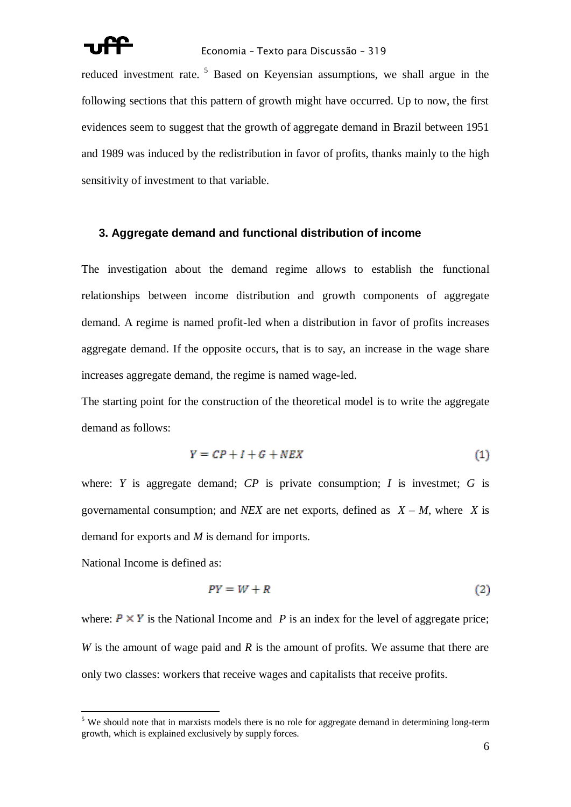

reduced investment rate.<sup>5</sup> Based on Keyensian assumptions, we shall argue in the following sections that this pattern of growth might have occurred. Up to now, the first evidences seem to suggest that the growth of aggregate demand in Brazil between 1951 and 1989 was induced by the redistribution in favor of profits, thanks mainly to the high sensitivity of investment to that variable.

#### **3. Aggregate demand and functional distribution of income**

The investigation about the demand regime allows to establish the functional relationships between income distribution and growth components of aggregate demand. A regime is named profit-led when a distribution in favor of profits increases aggregate demand. If the opposite occurs, that is to say, an increase in the wage share increases aggregate demand, the regime is named wage-led.

The starting point for the construction of the theoretical model is to write the aggregate demand as follows:

$$
Y = CP + I + G + NEX \tag{1}
$$

where: *Y* is aggregate demand; *CP* is private consumption; *I* is investmet; *G* is governamental consumption; and *NEX* are net exports, defined as  $X - M$ , where *X* is demand for exports and *M* is demand for imports.

National Income is defined as:

 $\overline{a}$ 

$$
PY = W + R \tag{2}
$$

where:  $P \times Y$  is the National Income and *P* is an index for the level of aggregate price; *W* is the amount of wage paid and *R* is the amount of profits. We assume that there are only two classes: workers that receive wages and capitalists that receive profits.

 $<sup>5</sup>$  We should note that in marxists models there is no role for aggregate demand in determining long-term</sup> growth, which is explained exclusively by supply forces.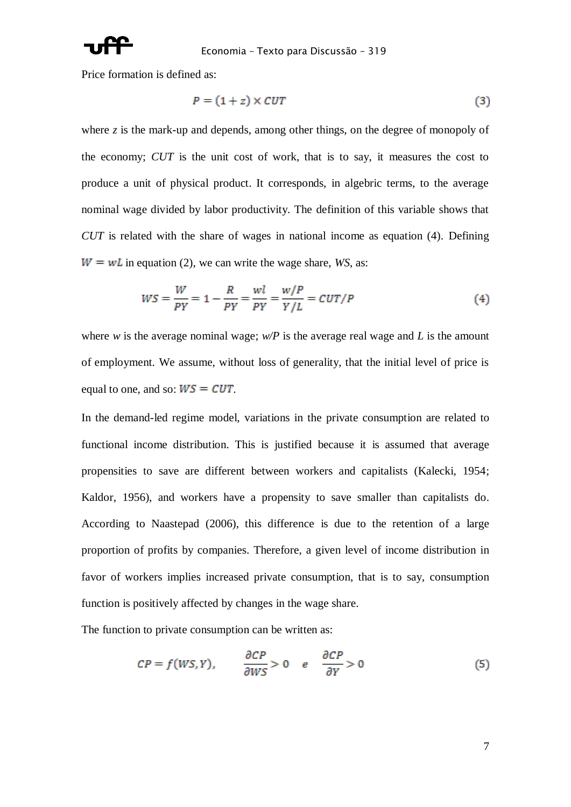

Price formation is defined as:

$$
P = (1 + z) \times CUT \tag{3}
$$

where *z* is the mark-up and depends, among other things, on the degree of monopoly of the economy; *CUT* is the unit cost of work, that is to say, it measures the cost to produce a unit of physical product. It corresponds, in algebric terms, to the average nominal wage divided by labor productivity. The definition of this variable shows that *CUT* is related with the share of wages in national income as equation (4). Defining  $W = wL$  in equation (2), we can write the wage share, *WS*, as:

$$
WS = \frac{W}{PY} = 1 - \frac{R}{PY} = \frac{wl}{PY} = \frac{w/P}{Y/L} = CUT/P
$$
\n<sup>(4)</sup>

where *w* is the average nominal wage;  $w/P$  is the average real wage and *L* is the amount of employment*.* We assume, without loss of generality, that the initial level of price is equal to one, and so:  $WS = CUT$ .

In the demand-led regime model, variations in the private consumption are related to functional income distribution. This is justified because it is assumed that average propensities to save are different between workers and capitalists (Kalecki, 1954; Kaldor, 1956), and workers have a propensity to save smaller than capitalists do. According to Naastepad (2006), this difference is due to the retention of a large proportion of profits by companies. Therefore, a given level of income distribution in favor of workers implies increased private consumption, that is to say, consumption function is positively affected by changes in the wage share.

The function to private consumption can be written as:

$$
CP = f(WS, Y), \qquad \frac{\partial CP}{\partial WS} > 0 \qquad e \qquad \frac{\partial CP}{\partial Y} > 0 \tag{5}
$$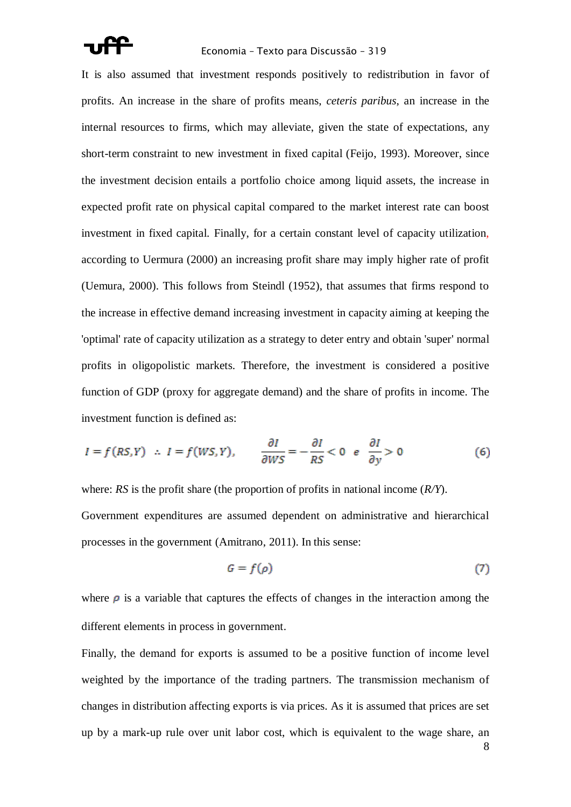#### Economia – Texto para Discussão – 319

It is also assumed that investment responds positively to redistribution in favor of profits. An increase in the share of profits means, *ceteris paribus*, an increase in the internal resources to firms, which may alleviate, given the state of expectations, any short-term constraint to new investment in fixed capital (Feijo, 1993). Moreover, since the investment decision entails a portfolio choice among liquid assets, the increase in expected profit rate on physical capital compared to the market interest rate can boost investment in fixed capital. Finally, for a certain constant level of capacity utilization, according to Uermura (2000) an increasing profit share may imply higher rate of profit (Uemura, 2000). This follows from Steindl (1952), that assumes that firms respond to the increase in effective demand increasing investment in capacity aiming at keeping the 'optimal' rate of capacity utilization as a strategy to deter entry and obtain 'super' normal profits in oligopolistic markets. Therefore, the investment is considered a positive function of GDP (proxy for aggregate demand) and the share of profits in income. The investment function is defined as:

$$
I = f(RS, Y) \quad \therefore \quad I = f(WS, Y), \qquad \frac{\partial I}{\partial WS} = -\frac{\partial I}{RS} < 0 \quad e \quad \frac{\partial I}{\partial y} > 0 \tag{6}
$$

where: *RS* is the profit share (the proportion of profits in national income (*R/Y*). Government expenditures are assumed dependent on administrative and hierarchical processes in the government (Amitrano, 2011). In this sense:

$$
G = f(\rho) \tag{7}
$$

where  $\rho$  is a variable that captures the effects of changes in the interaction among the different elements in process in government.

Finally, the demand for exports is assumed to be a positive function of income level weighted by the importance of the trading partners. The transmission mechanism of changes in distribution affecting exports is via prices. As it is assumed that prices are set up by a mark-up rule over unit labor cost, which is equivalent to the wage share, an

8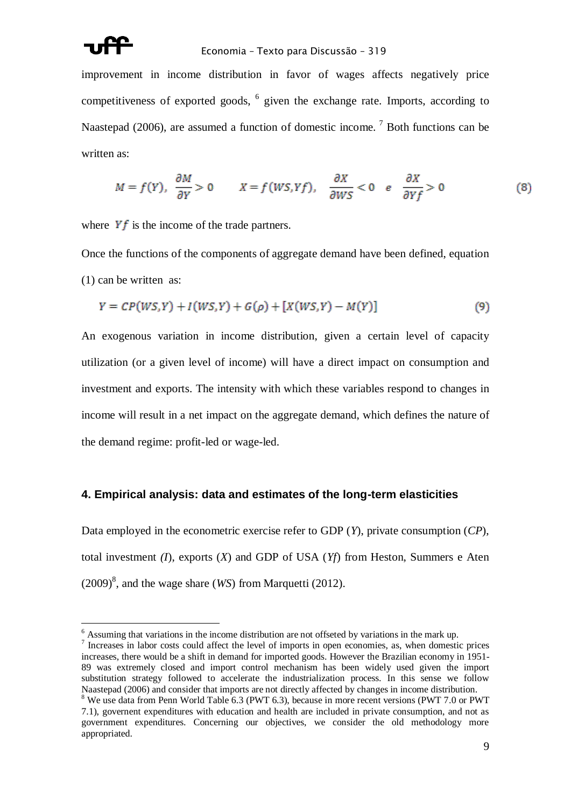

#### Economia – Texto para Discussão – 319

improvement in income distribution in favor of wages affects negatively price competitiveness of exported goods, 6 given the exchange rate. Imports, according to Naastepad (2006), are assumed a function of domestic income.<sup>7</sup> Both functions can be written as:

$$
M = f(Y), \frac{\partial M}{\partial Y} > 0 \qquad X = f(WS, Yf), \frac{\partial X}{\partial WS} < 0 \quad e \quad \frac{\partial X}{\partial Yf} > 0 \tag{8}
$$

where  $Yf$  is the income of the trade partners.

Once the functions of the components of aggregate demand have been defined, equation (1) can be written as:

$$
Y = CP(WS, Y) + I(WS, Y) + G(\rho) + [X(WS, Y) - M(Y)]
$$
\n(9)

An exogenous variation in income distribution, given a certain level of capacity utilization (or a given level of income) will have a direct impact on consumption and investment and exports. The intensity with which these variables respond to changes in income will result in a net impact on the aggregate demand, which defines the nature of the demand regime: profit-led or wage-led.

#### **4. Empirical analysis: data and estimates of the long-term elasticities**

Data employed in the econometric exercise refer to GDP (*Y*), private consumption (*CP*), total investment *(I*), exports (*X*) and GDP of USA (*Yf*) from Heston, Summers e Aten  $(2009)^8$ , and the wage share (*WS*) from Marquetti (2012).

 $<sup>6</sup>$  Assuming that variations in the income distribution are not offseted by variations in the mark up.</sup>

<sup>7</sup> Increases in labor costs could affect the level of imports in open economies, as, when domestic prices increases, there would be a shift in demand for imported goods. However the Brazilian economy in 1951- 89 was extremely closed and import control mechanism has been widely used given the import substitution strategy followed to accelerate the industrialization process. In this sense we follow Naastepad (2006) and consider that imports are not directly affected by changes in income distribution. <sup>8</sup> We use data from Penn World Table 6.3 (PWT 6.3), because in more recent versions (PWT 7.0 or PWT

<sup>7.1),</sup> governent expenditures with education and health are included in private consumption, and not as government expenditures. Concerning our objectives, we consider the old methodology more appropriated.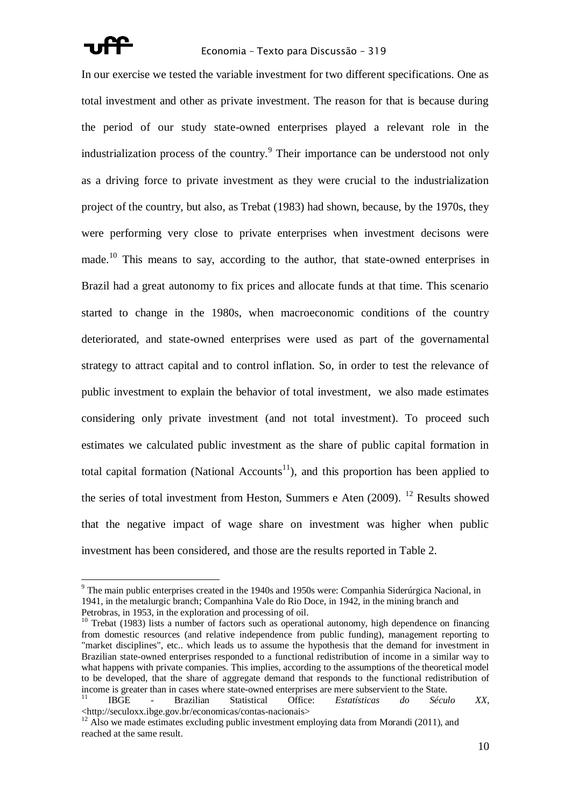

In our exercise we tested the variable investment for two different specifications. One as total investment and other as private investment. The reason for that is because during the period of our study state-owned enterprises played a relevant role in the industrialization process of the country.<sup>9</sup> Their importance can be understood not only as a driving force to private investment as they were crucial to the industrialization project of the country, but also, as Trebat (1983) had shown, because, by the 1970s, they were performing very close to private enterprises when investment decisons were made.<sup>10</sup> This means to say, according to the author, that state-owned enterprises in Brazil had a great autonomy to fix prices and allocate funds at that time. This scenario started to change in the 1980s, when macroeconomic conditions of the country deteriorated, and state-owned enterprises were used as part of the governamental strategy to attract capital and to control inflation. So, in order to test the relevance of public investment to explain the behavior of total investment, we also made estimates considering only private investment (and not total investment). To proceed such estimates we calculated public investment as the share of public capital formation in total capital formation (National Accounts<sup>11</sup>), and this proportion has been applied to the series of total investment from Heston, Summers e Aten  $(2009)$ . <sup>12</sup> Results showed that the negative impact of wage share on investment was higher when public investment has been considered, and those are the results reported in Table 2.

<sup>&</sup>lt;sup>9</sup> The main public enterprises created in the 1940s and 1950s were: Companhia Siderúrgica Nacional, in 1941, in the metalurgic branch; Companhina Vale do Rio Doce, in 1942, in the mining branch and Petrobras, in 1953, in the exploration and processing of oil.

<sup>&</sup>lt;sup>10</sup> Trebat (1983) lists a number of factors such as operational autonomy, high dependence on financing from domestic resources (and relative independence from public funding), management reporting to "market disciplines", etc.. which leads us to assume the hypothesis that the demand for investment in Brazilian state-owned enterprises responded to a functional redistribution of income in a similar way to what happens with private companies. This implies, according to the assumptions of the theoretical model to be developed, that the share of aggregate demand that responds to the functional redistribution of income is greater than in cases where state-owned enterprises are mere subservient to the State. <sup>11</sup> IBGE - Brazilian Statistical Office: *Estatísticas do Século XX*, <http://seculoxx.ibge.gov.br/economicas/contas-nacionais>

 $12$  Also we made estimates excluding public investment employing data from Morandi (2011), and reached at the same result.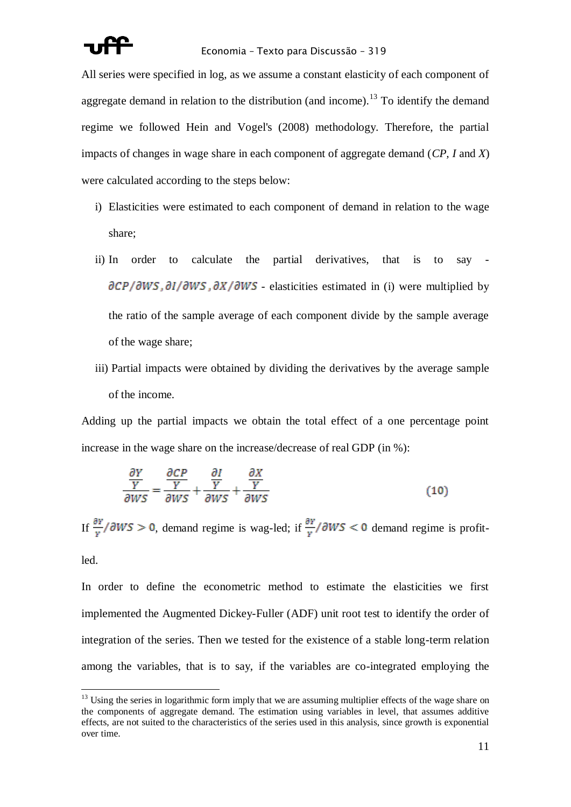All series were specified in log, as we assume a constant elasticity of each component of aggregate demand in relation to the distribution (and income).<sup>13</sup> To identify the demand regime we followed Hein and Vogel's (2008) methodology. Therefore, the partial impacts of changes in wage share in each component of aggregate demand (*CP, I* and *X*) were calculated according to the steps below:

- i) Elasticities were estimated to each component of demand in relation to the wage share;
- ii) In order to calculate the partial derivatives, that is to say  $\partial CP/\partial WS$ ,  $\partial I/\partial WS$ ,  $\partial X/\partial WS$  - elasticities estimated in (i) were multiplied by the ratio of the sample average of each component divide by the sample average of the wage share;
- iii) Partial impacts were obtained by dividing the derivatives by the average sample of the income.

Adding up the partial impacts we obtain the total effect of a one percentage point increase in the wage share on the increase/decrease of real GDP (in %):

$$
\frac{\frac{\partial Y}{Y}}{\partial WS} = \frac{\frac{\partial CP}{Y}}{\partial WS} + \frac{\frac{\partial I}{Y}}{\partial WS} + \frac{\frac{\partial X}{Y}}{\partial WS}
$$
(10)

If  $\frac{\partial Y}{\partial w}$  /  $\partial WS > 0$ , demand regime is wag-led; if  $\frac{\partial Y}{\partial w}$  /  $\partial WS < 0$  demand regime is profit-

led.

 $\overline{a}$ 

In order to define the econometric method to estimate the elasticities we first implemented the Augmented Dickey-Fuller (ADF) unit root test to identify the order of integration of the series. Then we tested for the existence of a stable long-term relation among the variables, that is to say, if the variables are co-integrated employing the

 $13$  Using the series in logarithmic form imply that we are assuming multiplier effects of the wage share on the components of aggregate demand. The estimation using variables in level, that assumes additive effects, are not suited to the characteristics of the series used in this analysis, since growth is exponential over time.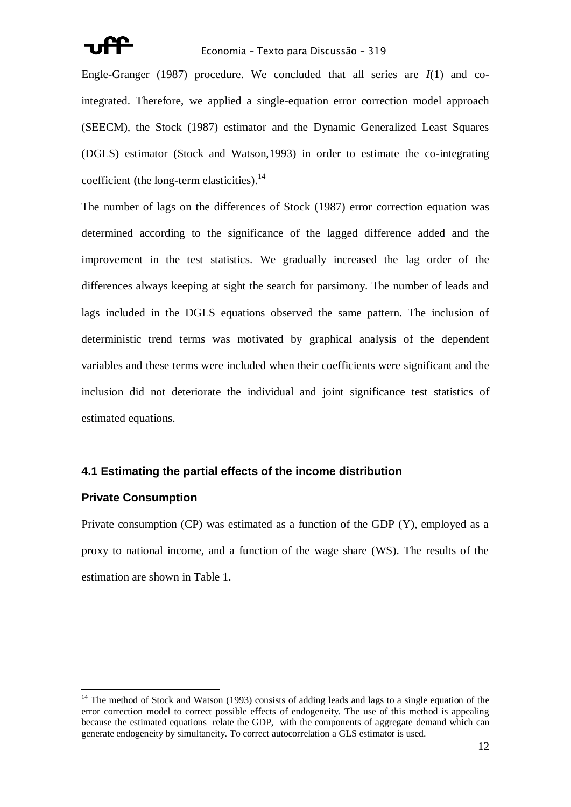

#### Economia – Texto para Discussão – 319

Engle-Granger (1987) procedure. We concluded that all series are *I*(1) and cointegrated. Therefore, we applied a single-equation error correction model approach (SEECM), the Stock (1987) estimator and the Dynamic Generalized Least Squares (DGLS) estimator (Stock and Watson,1993) in order to estimate the co-integrating coefficient (the long-term elasticities).<sup>14</sup>

The number of lags on the differences of Stock (1987) error correction equation was determined according to the significance of the lagged difference added and the improvement in the test statistics. We gradually increased the lag order of the differences always keeping at sight the search for parsimony. The number of leads and lags included in the DGLS equations observed the same pattern. The inclusion of deterministic trend terms was motivated by graphical analysis of the dependent variables and these terms were included when their coefficients were significant and the inclusion did not deteriorate the individual and joint significance test statistics of estimated equations.

#### **4.1 Estimating the partial effects of the income distribution**

#### **Private Consumption**

 $\overline{a}$ 

Private consumption (CP) was estimated as a function of the GDP (Y), employed as a proxy to national income, and a function of the wage share (WS). The results of the estimation are shown in Table 1.

 $14$  The method of Stock and Watson (1993) consists of adding leads and lags to a single equation of the error correction model to correct possible effects of endogeneity. The use of this method is appealing because the estimated equations relate the GDP, with the components of aggregate demand which can generate endogeneity by simultaneity. To correct autocorrelation a GLS estimator is used.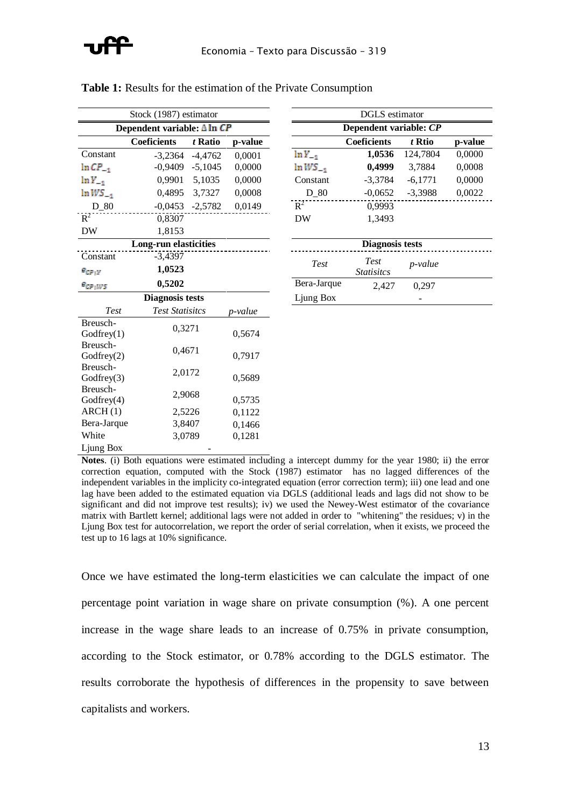| Stock (1987) estimator |                                     |           |         |                        | DGLS estimator         |           |
|------------------------|-------------------------------------|-----------|---------|------------------------|------------------------|-----------|
|                        | Dependent variable: $\Delta \ln CP$ |           |         | Dependent variable: CP |                        |           |
|                        | <b>Coeficients</b>                  | t Ratio   | p-value |                        | <b>Coeficients</b>     | t Rtio    |
| Constant               | $-3,2364$                           | $-4,4762$ | 0,0001  | $\ln Y_{-1}$           | 1,0536                 | 124,7804  |
| $ln CP_{-1}$           | $-0,9409$                           | $-5,1045$ | 0,0000  | $lnWS_{-1}$            | 0,4999                 | 3,7884    |
| $\ln Y_{-1}$           | 0,9901                              | 5,1035    | 0,0000  | Constant               | $-3,3784$              | $-6,1771$ |
| $lnWS_{-1}$            | 0,4895                              | 3,7327    | 0,0008  | $D_80$                 | $-0,0652$              | $-3,3988$ |
| D 80                   | $-0,0453$                           | $-2,5782$ | 0,0149  | $R^2$                  | 0,9993                 |           |
| $R^2$                  | 0,8307                              |           |         | <b>DW</b>              | 1,3493                 |           |
| <b>DW</b>              | 1,8153                              |           |         |                        |                        |           |
|                        | <b>Long-run elasticities</b>        |           |         |                        | <b>Diagnosis tests</b> |           |
| Constant               | $-3,4397$                           |           |         |                        | Test                   |           |
| $e_{CP:Y}$             | 1,0523                              |           |         | Test                   | <b>Statisites</b>      | p-value   |
| $e_{CP;WS}$            | 0,5202                              |           |         | Bera-Jarque            | 2,427                  | 0,297     |
|                        | <b>Diagnosis tests</b>              |           |         | Ljung Box              |                        |           |
| Test                   | <b>Test Statisitcs</b>              |           | p-value |                        |                        |           |
| Breusch-               | 0,3271                              |           |         |                        |                        |           |
| Godfrey(1)             |                                     |           | 0,5674  |                        |                        |           |
| Breusch-<br>Godfrey(2) | 0,4671                              |           | 0,7917  |                        |                        |           |
| Breusch-               |                                     |           |         |                        |                        |           |
| Godfrey(3)             | 2,0172                              |           | 0,5689  |                        |                        |           |
| Breusch-               |                                     |           |         |                        |                        |           |
| Godfrey(4)             | 2,9068                              |           | 0,5735  |                        |                        |           |
| ARCH(1)                | 2,5226                              |           | 0,1122  |                        |                        |           |
| Bera-Jarque            | 3,8407                              |           | 0,1466  |                        |                        |           |
| White                  | 3,0789                              |           | 0,1281  |                        |                        |           |
| Ljung Box              |                                     |           |         |                        |                        |           |

|  |  |  |  |  |  |  |  | <b>Table 1:</b> Results for the estimation of the Private Consumption |
|--|--|--|--|--|--|--|--|-----------------------------------------------------------------------|
|--|--|--|--|--|--|--|--|-----------------------------------------------------------------------|

|                     | Stock (1987) estimator              |           |         |               | DULS estimator         |                 |         |
|---------------------|-------------------------------------|-----------|---------|---------------|------------------------|-----------------|---------|
|                     | Dependent variable: $\Delta \ln CP$ |           |         |               | Dependent variable: CP |                 |         |
|                     | <b>Coeficients</b>                  | t Ratio   | p-value |               | <b>Coeficients</b>     | t Rtio          | p-value |
| Constant            | $-3.2364$                           | $-4.4762$ | 0,0001  | $ln Y_{-1}$   | 1,0536                 | 124,7804        | 0,0000  |
| $ln CP_{-1}$        | $-0,9409$                           | $-5,1045$ | 0,0000  | $\ln WS_{-1}$ | 0,4999                 | 3,7884          | 0,0008  |
| $\ln Y_{-1}$        | 0.9901                              | 5,1035    | 0,0000  | Constant      | $-3,3784$              | $-6,1771$       | 0,0000  |
| $\ln WS_{-1}$       | 0,4895                              | 3,7327    | 0,0008  | D 80          | $-0,0652$              | $-3,3988$       | 0,0022  |
| $D_80$              | $-0,0453$                           | $-2,5782$ | 0,0149  | $R^2$         | 0,9993                 |                 |         |
| $R^2$               | 0.8307                              |           |         | DW            | 1,3493                 |                 |         |
| DW                  | 1,8153                              |           |         |               |                        |                 |         |
|                     | <b>Long-run elasticities</b>        |           |         |               | <b>Diagnosis tests</b> |                 |         |
| Constant            | $-3,4397$                           |           |         |               | Test                   |                 |         |
| $e_{\mathit{CP}:Y}$ | 1,0523                              |           |         | Test          | <i>Statisitcs</i>      | <i>p</i> -value |         |
| e <sub>cp;ws</sub>  | 0,5202                              |           |         | Bera-Jarque   | 2.427                  | 0.297           |         |

**Notes**. (i) Both equations were estimated including a intercept dummy for the year 1980; ii) the error correction equation, computed with the Stock (1987) estimator has no lagged differences of the independent variables in the implicity co-integrated equation (error correction term); iii) one lead and one lag have been added to the estimated equation via DGLS (additional leads and lags did not show to be significant and did not improve test results); iv) we used the Newey-West estimator of the covariance matrix with Bartlett kernel; additional lags were not added in order to "whitening" the residues; v) in the Ljung Box test for autocorrelation, we report the order of serial correlation, when it exists, we proceed the test up to 16 lags at 10% significance.

Once we have estimated the long-term elasticities we can calculate the impact of one percentage point variation in wage share on private consumption (%). A one percent increase in the wage share leads to an increase of 0.75% in private consumption, according to the Stock estimator, or 0.78% according to the DGLS estimator. The results corroborate the hypothesis of differences in the propensity to save between capitalists and workers.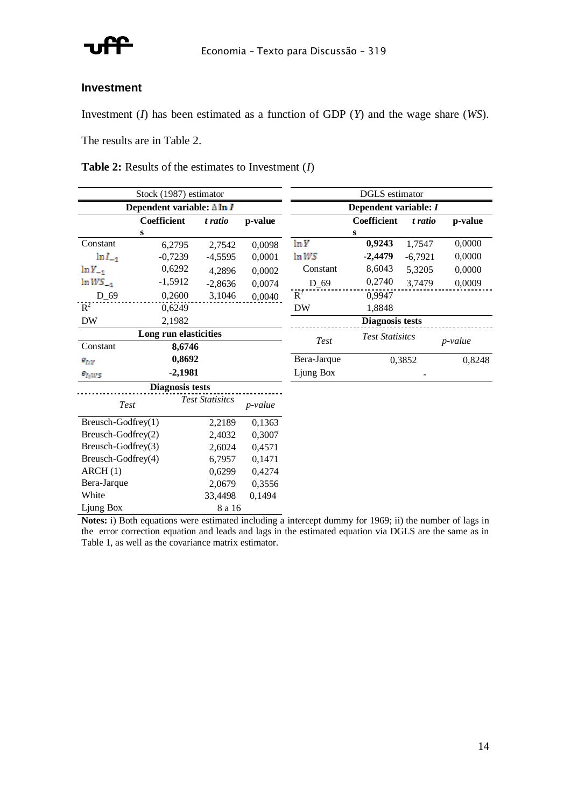

#### **Investment**

Investment (*I*) has been estimated as a function of GDP (*Y*) and the wage share (*WS*).

The results are in Table 2.

| <b>Table 2:</b> Results of the estimates to Investment $(I)$ |
|--------------------------------------------------------------|
|--------------------------------------------------------------|

|                       | Stock (1987) estimator             |                        |         |                       | <b>DGLS</b> estimator  |           |            |  |  |
|-----------------------|------------------------------------|------------------------|---------|-----------------------|------------------------|-----------|------------|--|--|
|                       | Dependent variable: $\Delta \ln I$ |                        |         | Dependent variable: I |                        |           |            |  |  |
|                       | <b>Coefficient</b>                 | t ratio                | p-value |                       | <b>Coefficient</b>     | t ratio   | p-value    |  |  |
|                       | S                                  |                        |         |                       | S                      |           |            |  |  |
| Constant              | 6,2795                             | 2,7542                 | 0,0098  | ln Y                  | 0,9243                 | 1,7547    | 0,0000     |  |  |
| $\ln l_{-1}$          | $-0,7239$                          | $-4,5595$              | 0,0001  | lnWS                  | $-2,4479$              | $-6,7921$ | 0,0000     |  |  |
| $ln Y_{-1}$           | 0,6292                             | 4,2896                 | 0,0002  | Constant              | 8,6043                 | 5,3205    | 0,0000     |  |  |
| $lnWS_{-1}$           | $-1,5912$                          | $-2,8636$              | 0,0074  | $D_69$                | 0,2740                 | 3,7479    | 0,0009     |  |  |
| $D_69$                | 0,2600                             | 3,1046                 | 0,0040  | $R^2$                 | 0,9947                 |           |            |  |  |
| $R^2$                 | 0,6249                             |                        |         | <b>DW</b>             | 1,8848                 |           |            |  |  |
| DW                    | 2,1982                             |                        |         |                       | <b>Diagnosis tests</b> |           |            |  |  |
| Long run elasticities |                                    |                        |         |                       | <b>Test Statisitcs</b> |           |            |  |  |
| Constant              | 8,6746                             |                        |         | Test                  |                        |           | $p$ -value |  |  |
| $e_{I;Y}$             | 0,8692                             |                        |         | Bera-Jarque           |                        | 0,3852    | 0,8248     |  |  |
| $e_{I;WS}$            | $-2,1981$                          |                        |         | Ljung Box             |                        |           |            |  |  |
|                       | <b>Diagnosis tests</b>             |                        |         |                       |                        |           |            |  |  |
| Test                  |                                    | <b>Test Statisitcs</b> | p-value |                       |                        |           |            |  |  |
| Breusch-Godfrey(1)    |                                    | 2,2189                 | 0,1363  |                       |                        |           |            |  |  |
| Breusch-Godfrey(2)    |                                    | 2,4032                 | 0,3007  |                       |                        |           |            |  |  |
| Breusch-Godfrey(3)    |                                    | 2,6024                 | 0,4571  |                       |                        |           |            |  |  |
| Breusch-Godfrey(4)    |                                    | 6,7957                 | 0,1471  |                       |                        |           |            |  |  |
| ARCH(1)               |                                    | 0,6299                 | 0,4274  |                       |                        |           |            |  |  |
| Bera-Jarque           |                                    | 2,0679                 | 0,3556  |                       |                        |           |            |  |  |
| White                 |                                    | 33,4498                | 0,1494  |                       |                        |           |            |  |  |

Ljung Box 8 a 16 **Notes:** i) Both equations were estimated including a intercept dummy for 1969; ii) the number of lags in the error correction equation and leads and lags in the estimated equation via DGLS are the same as in Table 1, as well as the covariance matrix estimator.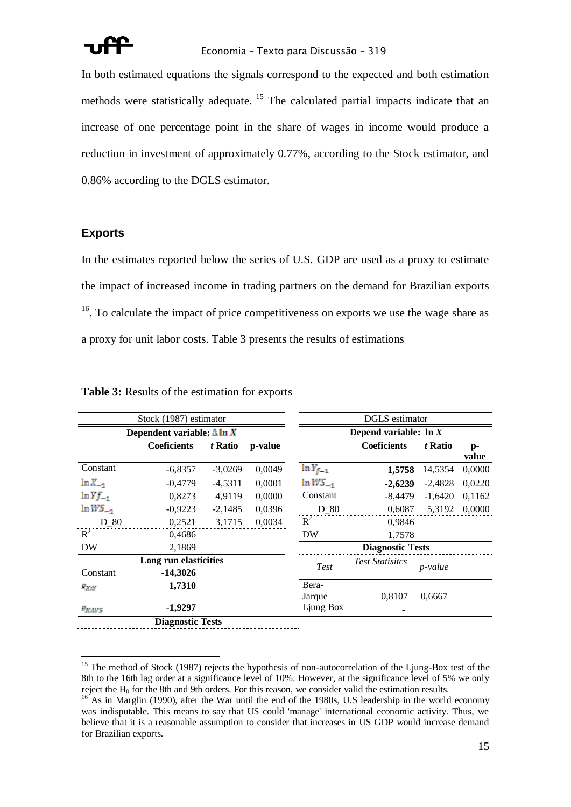

In both estimated equations the signals correspond to the expected and both estimation methods were statistically adequate. <sup>15</sup> The calculated partial impacts indicate that an increase of one percentage point in the share of wages in income would produce a reduction in investment of approximately 0.77%, according to the Stock estimator, and 0.86% according to the DGLS estimator.

### **Exports**

 $\overline{a}$ 

In the estimates reported below the series of U.S. GDP are used as a proxy to estimate the impact of increased income in trading partners on the demand for Brazilian exports  $16$ . To calculate the impact of price competitiveness on exports we use the wage share as a proxy for unit labor costs. Table 3 presents the results of estimations

|              | Stock (1987) estimator             |           |         |                 | DGLS estimator           |                 |               |
|--------------|------------------------------------|-----------|---------|-----------------|--------------------------|-----------------|---------------|
|              | Dependent variable: $\Delta \ln X$ |           |         |                 | Depend variable: $\ln X$ |                 |               |
|              | <b>Coeficients</b>                 | t Ratio   | p-value |                 | <b>Coeficients</b>       | t Ratio         | $p-$<br>value |
| Constant     | $-6,8357$                          | $-3,0269$ | 0,0049  | $\ln Y_{f-1}$   | 1,5758                   | 14,5354         | 0,0000        |
| $\ln X_{-1}$ | $-0.4779$                          | $-4,5311$ | 0,0001  | $lnWS_{-1}$     | $-2,6239$                | $-2,4828$       | 0,0220        |
| $ln Yf_{-1}$ | 0,8273                             | 4,9119    | 0,0000  | Constant        | $-8,4479$                | $-1,6420$       | 0,1162        |
| $lnWS_{-1}$  | $-0.9223$                          | $-2,1485$ | 0,0396  | $D_80$          | 0,6087                   | 5,3192          | 0,0000        |
| $D_80$       | 0,2521                             | 3,1715    | 0,0034  | $R^2$           | 0,9846                   |                 |               |
| $R^2$        | 0,4686                             |           |         | DW              | 1,7578                   |                 |               |
| DW           | 2,1869                             |           |         |                 | <b>Diagnostic Tests</b>  |                 |               |
| Constant     | Long run elasticities<br>-14,3026  |           |         | Test            | <b>Test Statisitcs</b>   | <i>p</i> -value |               |
| $e_{X:Y}$    | 1,7310                             |           |         | Bera-<br>Jarque | 0,8107                   | 0,6667          |               |
| $e_{X;WS}$   | $-1,9297$                          |           |         | Ljung Box       |                          |                 |               |
|              | <b>Diagnostic Tests</b>            |           |         |                 |                          |                 |               |

#### **Table 3:** Results of the estimation for exports

<sup>&</sup>lt;sup>15</sup> The method of Stock (1987) rejects the hypothesis of non-autocorrelation of the Ljung-Box test of the 8th to the 16th lag order at a significance level of 10%. However, at the significance level of 5% we only reject the  $H_0$  for the 8th and 9th orders. For this reason, we consider valid the estimation results.

 $16^{\circ}$  As in Marglin (1990), after the War until the end of the 1980s, U.S leadership in the world economy was indisputable. This means to say that US could 'manage' international economic activity. Thus, we believe that it is a reasonable assumption to consider that increases in US GDP would increase demand for Brazilian exports.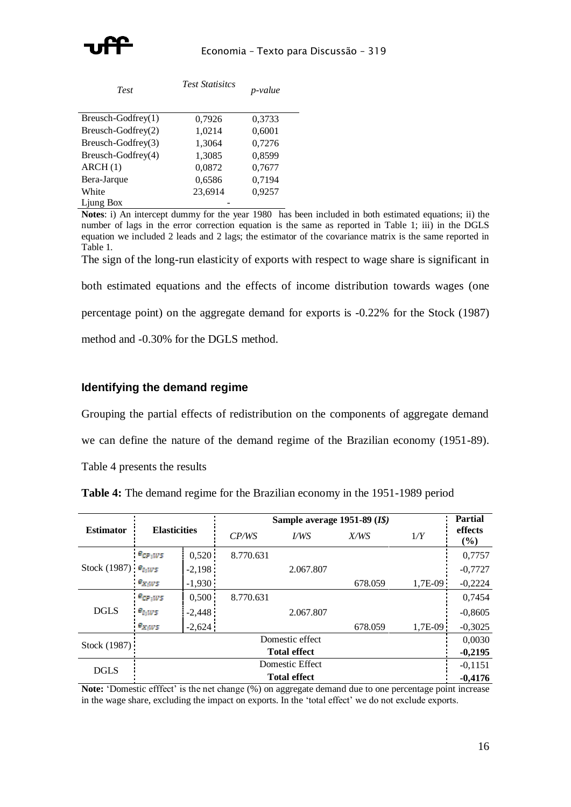

| <b>Test</b>          | <b>Test Statisitcs</b> | p-value |
|----------------------|------------------------|---------|
| $Breusch-Godfrey(1)$ | 0,7926                 | 0,3733  |
| Breusch-Godfrey(2)   | 1,0214                 | 0,6001  |
| Breusch-Godfrey(3)   | 1,3064                 | 0,7276  |
| Breusch-Godfrey(4)   | 1,3085                 | 0,8599  |
| ARCH(1)              | 0,0872                 | 0,7677  |
| Bera-Jarque          | 0,6586                 | 0,7194  |
| White                | 23,6914                | 0,9257  |
| Ljung Box            |                        |         |

**Notes**: i) An intercept dummy for the year 1980 has been included in both estimated equations; ii) the number of lags in the error correction equation is the same as reported in Table 1; iii) in the DGLS equation we included 2 leads and 2 lags; the estimator of the covariance matrix is the same reported in Table 1.

The sign of the long-run elasticity of exports with respect to wage share is significant in

both estimated equations and the effects of income distribution towards wages (one

percentage point) on the aggregate demand for exports is -0.22% for the Stock (1987)

method and -0.30% for the DGLS method.

### **Identifying the demand regime**

Grouping the partial effects of redistribution on the components of aggregate demand

we can define the nature of the demand regime of the Brazilian economy (1951-89).

Table 4 presents the results

**Table 4:** The demand regime for the Brazilian economy in the 1951-1989 period

|                          |                     |                     | Sample average 1951-89 (I\$) | <b>Partial</b>      |         |           |                   |  |
|--------------------------|---------------------|---------------------|------------------------------|---------------------|---------|-----------|-------------------|--|
| <b>Estimator</b>         | <b>Elasticities</b> |                     | CP/WS                        | VWS                 | X/WS    | 1/Y       | effects<br>$($ %) |  |
|                          | $e_{CP;WS}$         | 0,520               | 8.770.631                    |                     |         |           | 0,7757            |  |
| Stock (1987) $e_{I_1W5}$ |                     | $-2,198$            |                              | 2.067.807           |         |           | $-0,7727$         |  |
|                          | $e_{X;WS}$          | $-1,930$            |                              |                     | 678.059 | $1,7E-09$ | $-0,2224$         |  |
|                          | $e_{CP;WS}$         | 0,500               | 8.770.631                    |                     |         |           | 0.7454            |  |
| <b>DGLS</b>              | $e_{I_1WS}$         | $-2,448$            |                              | 2.067.807           |         |           | $-0,8605$         |  |
|                          | $e_{X;WS}$          | $-2,624$            |                              |                     | 678.059 | 1.7E-09   | $-0,3025$         |  |
| Stock (1987):            |                     |                     |                              | Domestic effect     |         |           | 0,0030            |  |
|                          |                     |                     |                              | <b>Total effect</b> |         |           | $-0,2195$         |  |
| <b>DGLS</b>              |                     | Domestic Effect     |                              |                     |         |           |                   |  |
|                          |                     | <b>Total effect</b> |                              |                     |         |           |                   |  |

Note: 'Domestic efffect' is the net change (%) on aggregate demand due to one percentage point increase in the wage share, excluding the impact on exports. In the 'total effect' we do not exclude exports.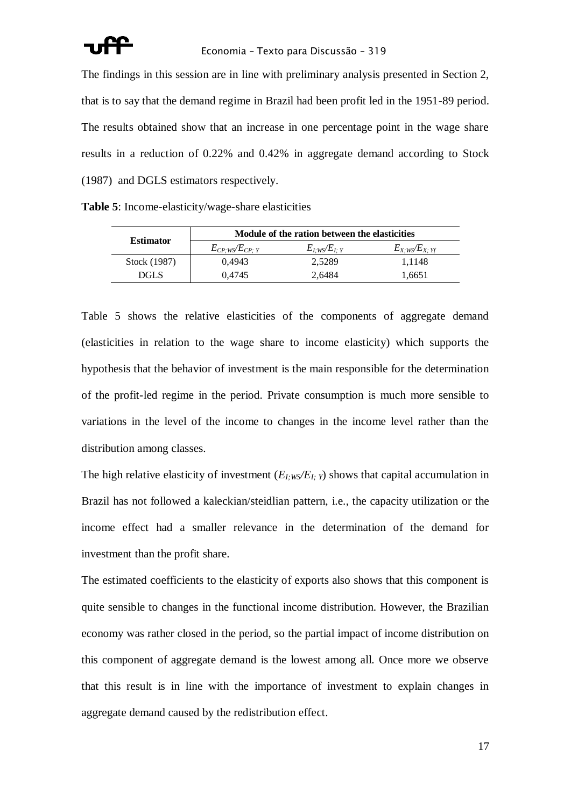The findings in this session are in line with preliminary analysis presented in Section 2, that is to say that the demand regime in Brazil had been profit led in the 1951-89 period. The results obtained show that an increase in one percentage point in the wage share results in a reduction of 0.22% and 0.42% in aggregate demand according to Stock (1987) and DGLS estimators respectively.

|  | Table 5: Income-elasticity/wage-share elasticities |  |  |
|--|----------------------------------------------------|--|--|
|--|----------------------------------------------------|--|--|

| <b>Estimator</b> | Module of the ration between the elasticities |                   |                     |  |  |  |
|------------------|-----------------------------------------------|-------------------|---------------------|--|--|--|
|                  | $E_{CP:WS}/E_{CP:Y}$                          | $E_l$ ws/ $E_l$ y | $E_{X;WS}/E_{X;Yf}$ |  |  |  |
| Stock (1987)     | 0.4943                                        | 2.5289            | 1.1148              |  |  |  |
| DGL S            | 0.4745                                        | 2.6484            | 1.6651              |  |  |  |

Table 5 shows the relative elasticities of the components of aggregate demand (elasticities in relation to the wage share to income elasticity) which supports the hypothesis that the behavior of investment is the main responsible for the determination of the profit-led regime in the period. Private consumption is much more sensible to variations in the level of the income to changes in the income level rather than the distribution among classes.

The high relative elasticity of investment  $(E_{I;WS}/E_{I;Y})$  shows that capital accumulation in Brazil has not followed a kaleckian/steidlian pattern, i.e., the capacity utilization or the income effect had a smaller relevance in the determination of the demand for investment than the profit share.

The estimated coefficients to the elasticity of exports also shows that this component is quite sensible to changes in the functional income distribution. However, the Brazilian economy was rather closed in the period, so the partial impact of income distribution on this component of aggregate demand is the lowest among all. Once more we observe that this result is in line with the importance of investment to explain changes in aggregate demand caused by the redistribution effect.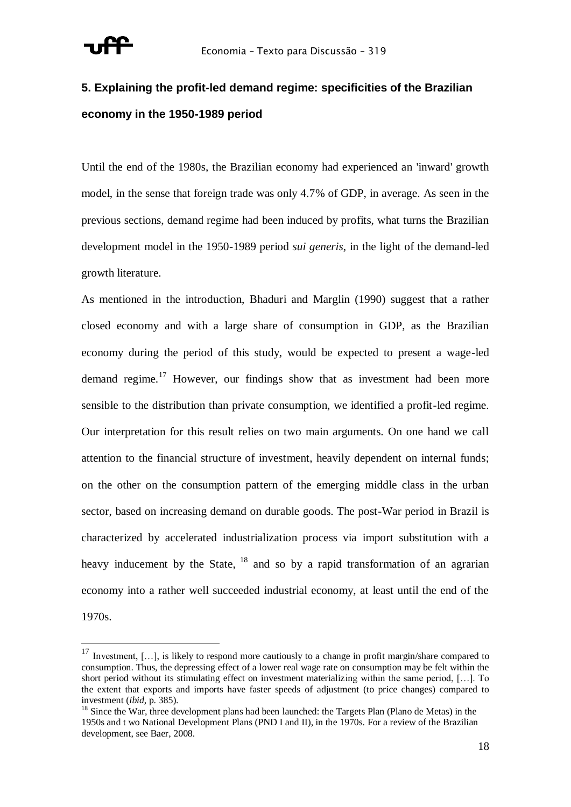

## **5. Explaining the profit-led demand regime: specificities of the Brazilian economy in the 1950-1989 period**

Until the end of the 1980s, the Brazilian economy had experienced an 'inward' growth model, in the sense that foreign trade was only 4.7% of GDP, in average. As seen in the previous sections, demand regime had been induced by profits, what turns the Brazilian development model in the 1950-1989 period *sui generis*, in the light of the demand-led growth literature.

As mentioned in the introduction, Bhaduri and Marglin (1990) suggest that a rather closed economy and with a large share of consumption in GDP, as the Brazilian economy during the period of this study, would be expected to present a wage-led demand regime.<sup>17</sup> However, our findings show that as investment had been more sensible to the distribution than private consumption, we identified a profit-led regime. Our interpretation for this result relies on two main arguments. On one hand we call attention to the financial structure of investment, heavily dependent on internal funds; on the other on the consumption pattern of the emerging middle class in the urban sector, based on increasing demand on durable goods. The post-War period in Brazil is characterized by accelerated industrialization process via import substitution with a heavy inducement by the State,  $18$  and so by a rapid transformation of an agrarian economy into a rather well succeeded industrial economy, at least until the end of the

1970s.

 $\overline{a}$ 

<sup>&</sup>lt;sup>17</sup> Investment, [...], is likely to respond more cautiously to a change in profit margin/share compared to consumption. Thus, the depressing effect of a lower real wage rate on consumption may be felt within the short period without its stimulating effect on investment materializing within the same period, […]. To the extent that exports and imports have faster speeds of adjustment (to price changes) compared to investment (*ibid*, p. 385).

<sup>&</sup>lt;sup>18</sup> Since the War, three development plans had been launched: the Targets Plan (Plano de Metas) in the 1950s and t wo National Development Plans (PND I and II), in the 1970s. For a review of the Brazilian development, see Baer, 2008.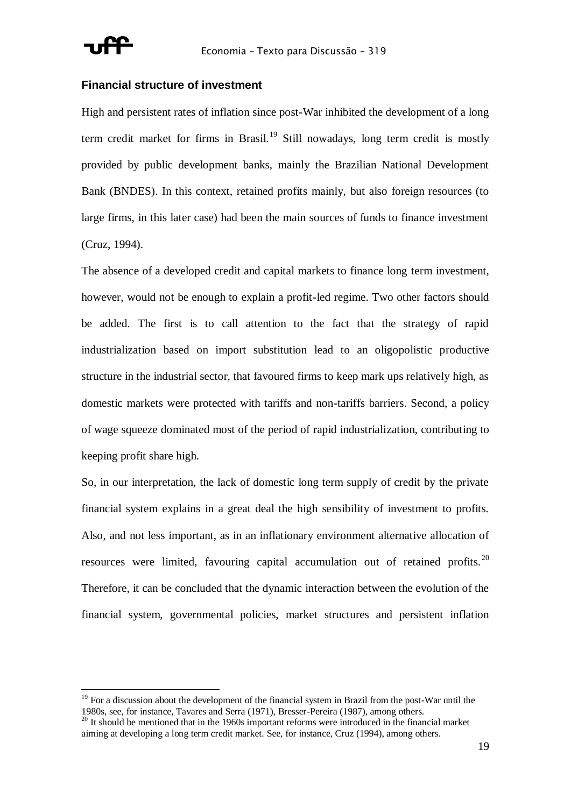

#### **Financial structure of investment**

High and persistent rates of inflation since post-War inhibited the development of a long term credit market for firms in Brasil.<sup>19</sup> Still nowadays, long term credit is mostly provided by public development banks, mainly the Brazilian National Development Bank (BNDES). In this context, retained profits mainly, but also foreign resources (to large firms, in this later case) had been the main sources of funds to finance investment (Cruz, 1994).

The absence of a developed credit and capital markets to finance long term investment, however, would not be enough to explain a profit-led regime. Two other factors should be added. The first is to call attention to the fact that the strategy of rapid industrialization based on import substitution lead to an oligopolistic productive structure in the industrial sector, that favoured firms to keep mark ups relatively high, as domestic markets were protected with tariffs and non-tariffs barriers. Second, a policy of wage squeeze dominated most of the period of rapid industrialization, contributing to keeping profit share high.

So, in our interpretation, the lack of domestic long term supply of credit by the private financial system explains in a great deal the high sensibility of investment to profits. Also, and not less important, as in an inflationary environment alternative allocation of resources were limited, favouring capital accumulation out of retained profits.<sup>20</sup> Therefore, it can be concluded that the dynamic interaction between the evolution of the financial system, governmental policies, market structures and persistent inflation

 $19$  For a discussion about the development of the financial system in Brazil from the post-War until the 1980s, see, for instance, Tavares and Serra (1971), Bresser-Pereira (1987), among others.

 $20$  It should be mentioned that in the 1960s important reforms were introduced in the financial market aiming at developing a long term credit market. See, for instance, Cruz (1994), among others.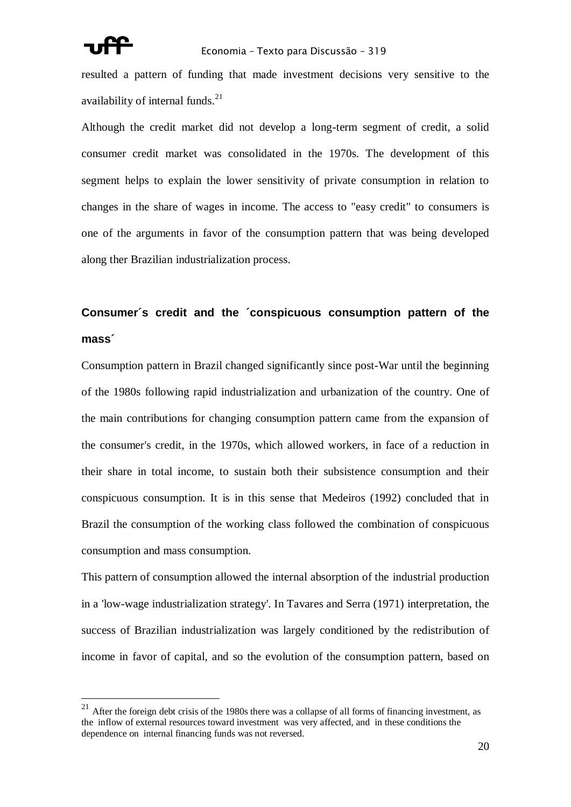

resulted a pattern of funding that made investment decisions very sensitive to the availability of internal funds.<sup>21</sup>

Although the credit market did not develop a long-term segment of credit, a solid consumer credit market was consolidated in the 1970s. The development of this segment helps to explain the lower sensitivity of private consumption in relation to changes in the share of wages in income. The access to "easy credit" to consumers is one of the arguments in favor of the consumption pattern that was being developed along ther Brazilian industrialization process.

## **Consumer´s credit and the ´conspicuous consumption pattern of the mass´**

Consumption pattern in Brazil changed significantly since post-War until the beginning of the 1980s following rapid industrialization and urbanization of the country. One of the main contributions for changing consumption pattern came from the expansion of the consumer's credit, in the 1970s, which allowed workers, in face of a reduction in their share in total income, to sustain both their subsistence consumption and their conspicuous consumption. It is in this sense that Medeiros (1992) concluded that in Brazil the consumption of the working class followed the combination of conspicuous consumption and mass consumption.

This pattern of consumption allowed the internal absorption of the industrial production in a 'low-wage industrialization strategy'. In Tavares and Serra (1971) interpretation, the success of Brazilian industrialization was largely conditioned by the redistribution of income in favor of capital, and so the evolution of the consumption pattern, based on

 $21$  After the foreign debt crisis of the 1980s there was a collapse of all forms of financing investment, as the inflow of external resources toward investment was very affected, and in these conditions the dependence on internal financing funds was not reversed.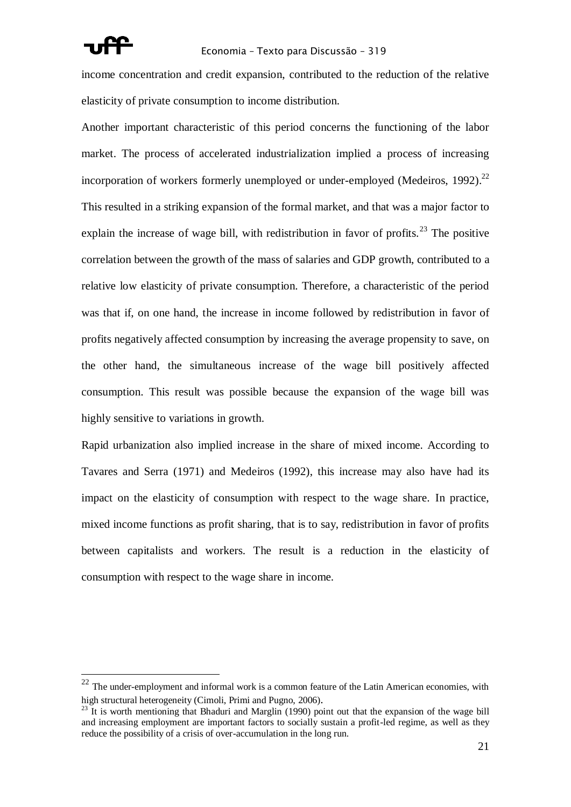

income concentration and credit expansion, contributed to the reduction of the relative elasticity of private consumption to income distribution.

Another important characteristic of this period concerns the functioning of the labor market. The process of accelerated industrialization implied a process of increasing incorporation of workers formerly unemployed or under-employed (Medeiros, 1992).<sup>22</sup> This resulted in a striking expansion of the formal market, and that was a major factor to explain the increase of wage bill, with redistribution in favor of profits.<sup>23</sup> The positive correlation between the growth of the mass of salaries and GDP growth, contributed to a relative low elasticity of private consumption. Therefore, a characteristic of the period was that if, on one hand, the increase in income followed by redistribution in favor of profits negatively affected consumption by increasing the average propensity to save, on the other hand, the simultaneous increase of the wage bill positively affected consumption. This result was possible because the expansion of the wage bill was highly sensitive to variations in growth.

Rapid urbanization also implied increase in the share of mixed income. According to Tavares and Serra (1971) and Medeiros (1992), this increase may also have had its impact on the elasticity of consumption with respect to the wage share. In practice, mixed income functions as profit sharing, that is to say, redistribution in favor of profits between capitalists and workers. The result is a reduction in the elasticity of consumption with respect to the wage share in income.

 $22$  The under-employment and informal work is a common feature of the Latin American economies, with high structural heterogeneity (Cimoli, Primi and Pugno, 2006).

 $^{23}$  It is worth mentioning that Bhaduri and Marglin (1990) point out that the expansion of the wage bill and increasing employment are important factors to socially sustain a profit-led regime, as well as they reduce the possibility of a crisis of over-accumulation in the long run.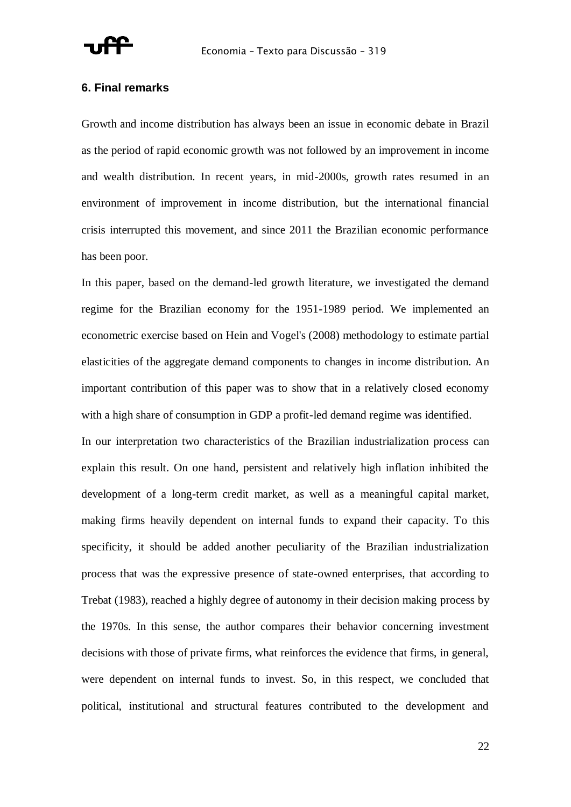

#### **6. Final remarks**

Growth and income distribution has always been an issue in economic debate in Brazil as the period of rapid economic growth was not followed by an improvement in income and wealth distribution. In recent years, in mid-2000s, growth rates resumed in an environment of improvement in income distribution, but the international financial crisis interrupted this movement, and since 2011 the Brazilian economic performance has been poor.

In this paper, based on the demand-led growth literature, we investigated the demand regime for the Brazilian economy for the 1951-1989 period. We implemented an econometric exercise based on Hein and Vogel's (2008) methodology to estimate partial elasticities of the aggregate demand components to changes in income distribution. An important contribution of this paper was to show that in a relatively closed economy with a high share of consumption in GDP a profit-led demand regime was identified.

In our interpretation two characteristics of the Brazilian industrialization process can explain this result. On one hand, persistent and relatively high inflation inhibited the development of a long-term credit market, as well as a meaningful capital market, making firms heavily dependent on internal funds to expand their capacity. To this specificity, it should be added another peculiarity of the Brazilian industrialization process that was the expressive presence of state-owned enterprises, that according to Trebat (1983), reached a highly degree of autonomy in their decision making process by the 1970s. In this sense, the author compares their behavior concerning investment decisions with those of private firms, what reinforces the evidence that firms, in general, were dependent on internal funds to invest. So, in this respect, we concluded that political, institutional and structural features contributed to the development and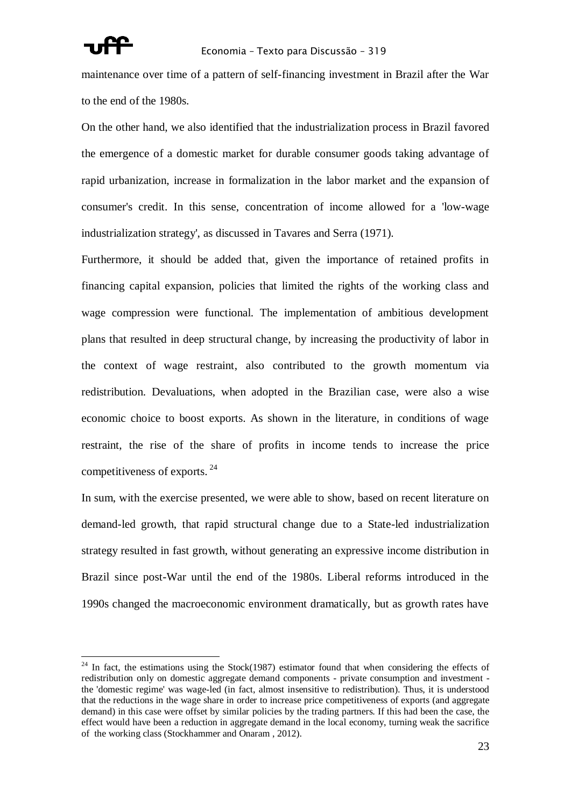

maintenance over time of a pattern of self-financing investment in Brazil after the War to the end of the 1980s.

On the other hand, we also identified that the industrialization process in Brazil favored the emergence of a domestic market for durable consumer goods taking advantage of rapid urbanization, increase in formalization in the labor market and the expansion of consumer's credit. In this sense, concentration of income allowed for a 'low-wage industrialization strategy', as discussed in Tavares and Serra (1971).

Furthermore, it should be added that, given the importance of retained profits in financing capital expansion, policies that limited the rights of the working class and wage compression were functional. The implementation of ambitious development plans that resulted in deep structural change, by increasing the productivity of labor in the context of wage restraint, also contributed to the growth momentum via redistribution. Devaluations, when adopted in the Brazilian case, were also a wise economic choice to boost exports. As shown in the literature, in conditions of wage restraint, the rise of the share of profits in income tends to increase the price competitiveness of exports. <sup>24</sup>

In sum, with the exercise presented, we were able to show, based on recent literature on demand-led growth, that rapid structural change due to a State-led industrialization strategy resulted in fast growth, without generating an expressive income distribution in Brazil since post-War until the end of the 1980s. Liberal reforms introduced in the 1990s changed the macroeconomic environment dramatically, but as growth rates have

 $^{24}$  In fact, the estimations using the Stock(1987) estimator found that when considering the effects of redistribution only on domestic aggregate demand components - private consumption and investment the 'domestic regime' was wage-led (in fact, almost insensitive to redistribution). Thus, it is understood that the reductions in the wage share in order to increase price competitiveness of exports (and aggregate demand) in this case were offset by similar policies by the trading partners. If this had been the case, the effect would have been a reduction in aggregate demand in the local economy, turning weak the sacrifice of the working class (Stockhammer and Onaram , 2012).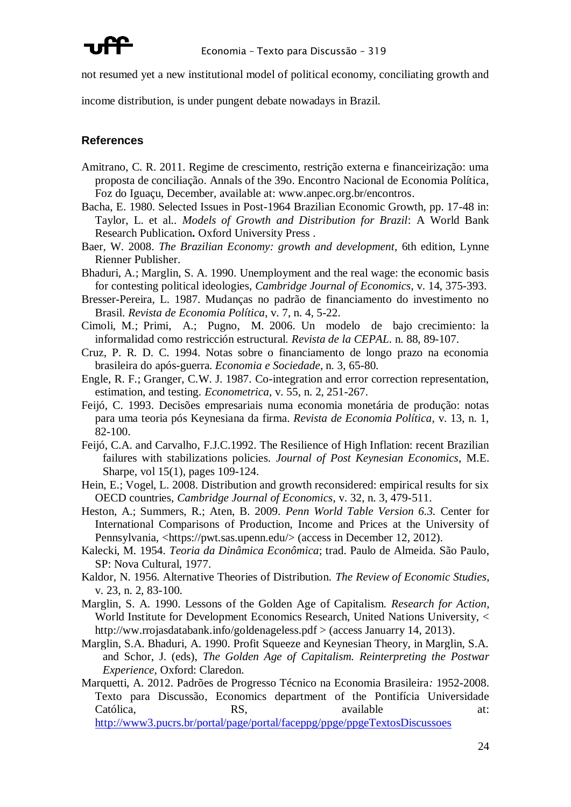

not resumed yet a new institutional model of political economy, conciliating growth and

income distribution, is under pungent debate nowadays in Brazil.

#### **References**

- Amitrano, C. R. 2011. Regime de crescimento, restrição externa e financeirização: uma proposta de conciliação. Annals of the 39o. Encontro Nacional de Economia Política, Foz do Iguaçu, December, available at: www.anpec.org.br/encontros.
- Bacha, E. 1980. Selected Issues in Post-1964 Brazilian Economic Growth, pp. 17-48 in: Taylor, L. et al.. *Models of Growth and Distribution for Brazil*: A World Bank Research Publication**.** Oxford University Press .
- Baer, W. 2008. *The Brazilian Economy: growth and development*, 6th edition, Lynne Rienner Publisher.
- Bhaduri, A.; Marglin, S. A. 1990. Unemployment and the real wage: the economic basis for contesting political ideologies, *Cambridge Journal of Economics*, v. 14, 375-393.
- Bresser-Pereira, L. 1987. Mudanças no padrão de financiamento do investimento no Brasil. *Revista de Economia Política*, v. 7, n. 4, 5-22.
- Cimoli, M.; Primi, A.; Pugno, M. 2006. Un modelo de bajo crecimiento: la informalidad como restricción estructural. *Revista de la CEPAL*. n. 88, 89-107.
- Cruz, P. R. D. C. 1994. Notas sobre o financiamento de longo prazo na economia brasileira do após-guerra. *Economia e Sociedade*, n. 3, 65-80.
- Engle, R. F.; Granger, C.W. J. 1987. Co-integration and error correction representation, estimation, and testing. *Econometrica*, v. 55, n. 2, 251-267.
- Feijó, C. 1993. Decisões empresariais numa economia monetária de produção: notas para uma teoria pós Keynesiana da firma. *Revista de Economia Política*, v. 13, n. 1, 82-100.
- Feijó, C.A. and Carvalho, F.J.C.1992. The Resilience of High Inflation: recent Brazilian failures with stabilizations policies. *Journal of Post Keynesian Economics*, M.E. Sharpe, vol 15(1), pages 109-124.
- Hein, E.; Vogel, L. 2008. Distribution and growth reconsidered: empirical results for six OECD countries, *Cambridge Journal of Economics*, v. 32, n. 3, 479-511.
- Heston, A.; Summers, R.; Aten, B. 2009. *Penn World Table Version 6.3.* Center for International Comparisons of Production, Income and Prices at the University of Pennsylvania, <https://pwt.sas.upenn.edu/> (access in December 12, 2012).
- Kalecki, M. 1954. *Teoria da Dinâmica Econômica*; trad. Paulo de Almeida. São Paulo, SP: Nova Cultural, 1977.
- Kaldor, N. 1956. Alternative Theories of Distribution. *The Review of Economic Studies*, v. 23, n. 2, 83-100.
- Marglin, S. A. 1990. Lessons of the Golden Age of Capitalism. *Research for Action*, World Institute for Development Economics Research, United Nations University, < http://ww.rrojasdatabank.info/goldenageless.pdf > (access Januarry 14, 2013).
- Marglin, S.A. Bhaduri, A. 1990. Profit Squeeze and Keynesian Theory, in Marglin, S.A. and Schor, J. (eds), *The Golden Age of Capitalism. Reinterpreting the Postwar Experience*, Oxford: Claredon.
- Marquetti, A. 2012. Padrões de Progresso Técnico na Economia Brasileira*:* 1952-2008. Texto para Discussão, Economics department of the Pontifícia Universidade Católica, RS, RS, available at: <http://www3.pucrs.br/portal/page/portal/faceppg/ppge/ppgeTextosDiscussoes>